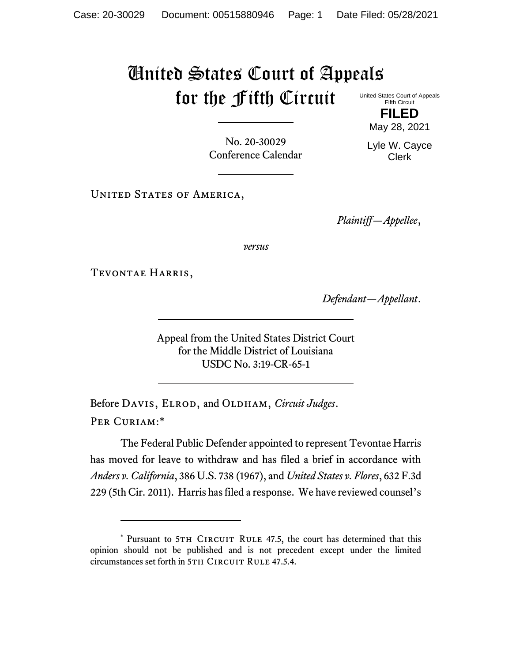## United States Court of Appeals for the Fifth Circuit United States Court of Appeals

Fifth Circuit **FILED**

May 28, 2021

No. 20-30029 Conference Calendar Lyle W. Cayce Clerk

UNITED STATES OF AMERICA,

*Plaintiff—Appellee*,

*versus*

Tevontae Harris,

*Defendant—Appellant*.

Appeal from the United States District Court for the Middle District of Louisiana USDC No. 3:19-CR-65-1

Before DAVIS, ELROD, and OLDHAM, *Circuit Judges*. Per Curiam:\*

The Federal Public Defender appointed to represent Tevontae Harris has moved for leave to withdraw and has filed a brief in accordance with *Anders v. California*, 386 U.S. 738 (1967), and *United States v. Flores*, 632 F.3d 229 (5th Cir. 2011). Harris has filed a response. We have reviewed counsel's

<sup>\*</sup> Pursuant to 5TH CIRCUIT RULE 47.5, the court has determined that this opinion should not be published and is not precedent except under the limited circumstances set forth in 5TH CIRCUIT RULE 47.5.4.